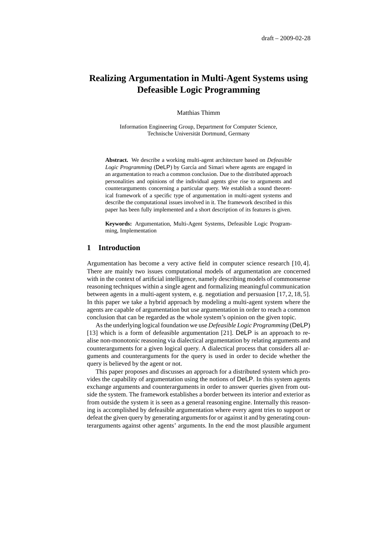# **Realizing Argumentation in Multi-Agent Systems using Defeasible Logic Programming**

Matthias Thimm

Information Engineering Group, Department for Computer Science, Technische Universität Dortmund, Germany

**Abstract.** We describe a working multi-agent architecture based on *Defeasible Logic Programming* (DeLP) by García and Simari where agents are engaged in an argumentation to reach a common conclusion. Due to the distributed approach personalities and opinions of the individual agents give rise to arguments and counterarguments concerning a particular query. We establish a sound theoretical framework of a specific type of argumentation in multi-agent systems and describe the computational issues involved in it. The framework described in this paper has been fully implemented and a short description of its features is given.

**Keywords:** Argumentation, Multi-Agent Systems, Defeasible Logic Programming, Implementation

## **1 Introduction**

Argumentation has become a very active field in computer science research [10, 4]. There are mainly two issues computational models of argumentation are concerned with in the context of artificial intelligence, namely describing models of commonsense reasoning techniques within a single agent and formalizing meaningful communication between agents in a multi-agent system, e. g. negotiation and persuasion [17, 2, 18, 5]. In this paper we take a hybrid approach by modeling a multi-agent system where the agents are capable of argumentation but use argumentation in order to reach a common conclusion that can be regarded as the whole system's opinion on the given topic.

As the underlying logical foundation we use *Defeasible Logic Programming* (DeLP) [13] which is a form of defeasible argumentation [21]. DeLP is an approach to realise non-monotonic reasoning via dialectical argumentation by relating arguments and counterarguments for a given logical query. A dialectical process that considers all arguments and counterarguments for the query is used in order to decide whether the query is believed by the agent or not.

This paper proposes and discusses an approach for a distributed system which provides the capability of argumentation using the notions of DeLP. In this system agents exchange arguments and counterarguments in order to answer queries given from outside the system. The framework establishes a border between its interior and exterior as from outside the system it is seen as a general reasoning engine. Internally this reasoning is accomplished by defeasible argumentation where every agent tries to support or defeat the given query by generating arguments for or against it and by generating counterarguments against other agents' arguments. In the end the most plausible argument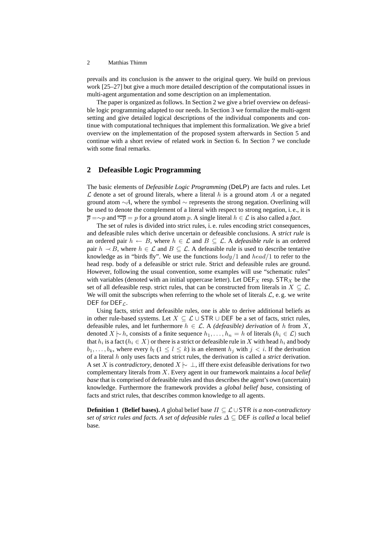prevails and its conclusion is the answer to the original query. We build on previous work [25–27] but give a much more detailed description of the computational issues in multi-agent argumentation and some description on an implementation.

The paper is organized as follows. In Section 2 we give a brief overview on defeasible logic programming adapted to our needs. In Section 3 we formalize the multi-agent setting and give detailed logical descriptions of the individual components and continue with computational techniques that implement this formalization. We give a brief overview on the implementation of the proposed system afterwards in Section 5 and continue with a short review of related work in Section 6. In Section 7 we conclude with some final remarks.

### **2 Defeasible Logic Programming**

The basic elements of *Defeasible Logic Programming* (DeLP) are facts and rules. Let  $\mathcal L$  denote a set of ground literals, where a literal h is a ground atom A or a negated ground atom  $\sim A$ , where the symbol  $\sim$  represents the strong negation. Overlining will be used to denote the complement of a literal with respect to strong negation, i. e., it is  $\overline{p} = \sim p$  and  $\overline{\sim p} = p$  for a ground atom p. A single literal  $h \in \mathcal{L}$  is also called a *fact*.

The set of rules is divided into strict rules, i. e. rules encoding strict consequences, and defeasible rules which derive uncertain or defeasible conclusions. A *strict rule* is an ordered pair  $h \leftarrow B$ , where  $h \in \mathcal{L}$  and  $B \subseteq \mathcal{L}$ . A *defeasible rule* is an ordered pair  $h \sim B$ , where  $h \in \mathcal{L}$  and  $B \subseteq \mathcal{L}$ . A defeasible rule is used to describe tentative knowledge as in "birds fly". We use the functions  $body/1$  and  $head/1$  to refer to the head resp. body of a defeasible or strict rule. Strict and defeasible rules are ground. However, following the usual convention, some examples will use "schematic rules" with variables (denoted with an initial uppercase letter). Let  $DEF_X$  resp.  $STR_X$  be the set of all defeasible resp. strict rules, that can be constructed from literals in  $X \subseteq \mathcal{L}$ . We will omit the subscripts when referring to the whole set of literals  $\mathcal{L}$ , e.g. we write DEF for DEF $c$ .

Using facts, strict and defeasible rules, one is able to derive additional beliefs as in other rule-based systems. Let  $X \subseteq \mathcal{L} \cup STR \cup DEF$  be a set of facts, strict rules, defeasible rules, and let furthermore  $h \in \mathcal{L}$ . A *(defeasible) derivation* of h from X, denoted  $X \mid \sim h$ , consists of a finite sequence  $h_1, \ldots, h_n = h$  of literals ( $h_i \in \mathcal{L}$ ) such that  $h_i$  is a fact ( $h_i \in X$ ) or there is a strict or defeasible rule in  $X$  with head  $h_i$  and body  $b_1, \ldots, b_k$ , where every  $b_l$   $(1 \leq l \leq k)$  is an element  $h_i$  with  $j < i$ . If the derivation of a literal h only uses facts and strict rules, the derivation is called a *strict* derivation. A set X is *contradictory*, denoted  $X \sim \bot$ , iff there exist defeasible derivations for two complementary literals from X. Every agent in our framework maintains a *local belief base* that is comprised of defeasible rules and thus describes the agent's own (uncertain) knowledge. Furthermore the framework provides a *global belief base*, consisting of facts and strict rules, that describes common knowledge to all agents.

**Definition 1 (Belief bases).** A global belief base  $\Pi \subseteq \mathcal{L} \cup$  STR *is a non-contradictory set of strict rules and facts. A set of defeasible rules*  $\Delta \subset$  DEF *is called a* local belief base*.*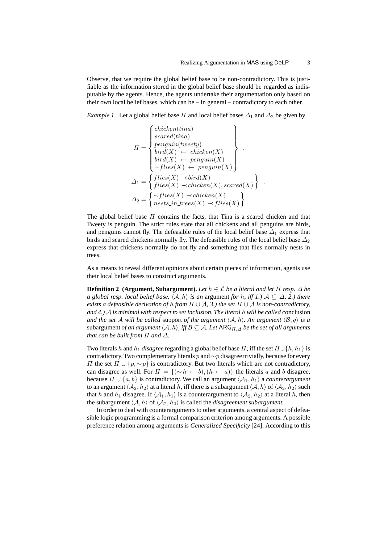,

Observe, that we require the global belief base to be non-contradictory. This is justifiable as the information stored in the global belief base should be regarded as indisputable by the agents. Hence, the agents undertake their argumentation only based on their own local belief bases, which can be – in general – contradictory to each other.

*Example 1.* Let a global belief base  $\Pi$  and local belief bases  $\Delta_1$  and  $\Delta_2$  be given by

$$
II = \begin{cases} \text{chicken}(tina) \\ \text{search}(tina) \\ \text{penguin}(tweety) \\ \text{bird}(X) \\ \text{bird}(X) \\ \text{child}(X) \\ \text{fields}(X) \\ \text{penguin}(X) \end{cases},
$$

$$
\Delta_1 = \begin{cases} \text{flies}(X) \\ \text{files}(X) \\ \text{which is} \\ \text{files}(X) \\ \text{chicken}(X), \text{search}(X) \end{cases}
$$

$$
\Delta_2 = \begin{cases} \sim \text{flies}(X) \\ \text{nets} : \text{in trees}(X) \\ \text{ments} : \text{in trees}(X) \\ \text{of lies}(X) \end{cases}.
$$

The global belief base  $\Pi$  contains the facts, that Tina is a scared chicken and that Tweety is penguin. The strict rules state that all chickens and all penguins are birds, and penguins cannot fly. The defeasible rules of the local belief base  $\Delta_1$  express that birds and scared chickens normally fly. The defeasible rules of the local belief base  $\Delta_2$ express that chickens normally do not fly and something that flies normally nests in trees.

As a means to reveal different opinions about certain pieces of information, agents use their local belief bases to construct arguments.

**Definition 2** (Argument, Subargument). Let  $h \in \mathcal{L}$  be a literal and let  $\Pi$  resp.  $\Delta$  be *a global resp. local belief base.*  $\langle A, h \rangle$  *is an argument for* h, *iff 1.*)  $A \subseteq \Delta$ , 2.) there *exists a defeasible derivation of h from*  $\Pi \cup A$ , 3.) the set  $\Pi \cup A$  *is non-contradictory*, *and 4.)* A *is minimal with respect to set inclusion. The literal* h *will be called* conclusion *and the set* A *will be called support of the argument*  $\langle A, h \rangle$ *. An argument*  $\langle B, q \rangle$  *is a* subargument *of an argument*  $\langle A, h \rangle$ *, iff*  $\mathcal{B} \subseteq \mathcal{A}$ *. Let* ARG<sub> $\Pi, \Delta$ </sub> *be the set of all arguments that can be built from* Π *and* ∆*.*

Two literals h and  $h_1$  *disagree* regarding a global belief base  $\Pi$ , iff the set  $\Pi \cup \{h, h_1\}$  is contradictory. Two complementary literals p and  $\sim p$  disagree trivially, because for every  $\Pi$  the set  $\Pi$  ∪ { $p, ∼p$ } is contradictory. But two literals which are not contradictory, can disagree as well. For  $\Pi = \{(\sim h \leftarrow b), (h \leftarrow a)\}\$  the literals a and b disagree, because  $\Pi \cup \{a, b\}$  is contradictory. We call an argument  $\langle A_1, h_1 \rangle$  a *counterargument* to an argument  $\langle A_2, h_2 \rangle$  at a literal h, iff there is a subargument  $\langle A, h \rangle$  of  $\langle A_2, h_2 \rangle$  such that h and  $h_1$  disagree. If  $\langle A_1, h_1 \rangle$  is a counterargument to  $\langle A_2, h_2 \rangle$  at a literal h, then the subargument  $\langle A, h \rangle$  of  $\langle A_2, h_2 \rangle$  is called the *disagreement subargument*.

In order to deal with counterarguments to other arguments, a central aspect of defeasible logic programming is a formal comparison criterion among arguments. A possible preference relation among arguments is *Generalized Specificity* [24]. According to this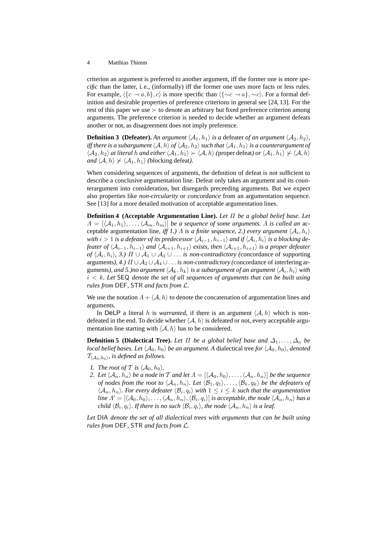criterion an argument is preferred to another argument, iff the former one is more *specific* than the latter, i. e., (informally) iff the former one uses more facts or less rules. For example,  $\langle {c \prec a, b} \rangle$ , c) is more specific than  $\langle {\sim c \prec a} \rangle$ , ∼c). For a formal definition and desirable properties of preference criterions in general see [24, 13]. For the rest of this paper we use  $\succ$  to denote an arbitrary but fixed preference criterion among arguments. The preference criterion is needed to decide whether an argument defeats another or not, as disagreement does not imply preference.

**Definition 3** (Defeater). An argument  $\langle A_1, h_1 \rangle$  *is a* defeater *of an argument*  $\langle A_2, h_2 \rangle$ *, iff there is a subargument*  $\langle A, h \rangle$  *of*  $\langle A_2, h_2 \rangle$  *such that*  $\langle A_1, h_1 \rangle$  *is a counterargument of*  $\langle A_2, h_2 \rangle$  *at literal h and either*  $\langle A_1, h_1 \rangle \succ \langle A, h \rangle$  (proper defeat) *or*  $\langle A_1, h_1 \rangle \not\succ \langle A, h \rangle$ *and*  $\langle A, h \rangle \nless \langle A_1, h_1 \rangle$  *(blocking defeat).* 

When considering sequences of arguments, the definition of defeat is not sufficient to describe a conclusive argumentation line. Defeat only takes an argument and its counterargument into consideration, but disregards preceeding arguments. But we expect also properties like *non-circularity* or *concordance* from an argumentation sequence. See [13] for a more detailed motivation of acceptable argumentation lines.

**Definition 4 (Acceptable Argumentation Line).** *Let* Π *be a global belief base. Let*  $\Lambda = [\langle A_1, h_1 \rangle, \ldots, \langle A_m, h_m \rangle]$  *be a sequence of some arguments.* A *is called an* acceptable argumentation line, *iff 1.*)  $\Lambda$  *is a finite sequence*, 2.) every argument  $\langle A_i, h_i \rangle$ with  $i>1$  is a defeater of its predecessor  $\langle \mathcal{A}_{i-1}, h_{i-1}\rangle$  and if  $\langle \mathcal{A}_i, h_i\rangle$  is a blocking de*feater of*  $\langle A_{i-1}, h_{i-1} \rangle$  *and*  $\langle A_{i+1}, h_{i+1} \rangle$  *exists, then*  $\langle A_{i+1}, h_{i+1} \rangle$  *is a proper defeater of*  $\langle A_i, h_i \rangle$ , 3.)  $\Pi \cup A_1 \cup A_3 \cup \ldots$  *is non-contradictory* (concordance of supporting arguments*), 4.)* Π ∪ A<sup>2</sup> ∪ A<sup>4</sup> ∪. . . *is non-contradictory (*concordance of interfering arguments), and 5.)no argument  $\langle A_k, h_k \rangle$  is a subargument of an argument  $\langle A_i, h_i \rangle$  with i < k*. Let* SEQ *denote the set of all sequences of arguments that can be built using rules from* DEF*,* STR *and facts from* L*.*

We use the notation  $\Lambda + \langle A, h \rangle$  to denote the concatenation of argumentation lines and arguments.

In DeLP a literal h is *warranted*, if there is an argument  $\langle A, h \rangle$  which is nondefeated in the end. To decide whether  $\langle A, h \rangle$  is defeated or not, every acceptable argumentation line starting with  $\langle A, h \rangle$  has to be considered.

**Definition 5 (Dialectical Tree).** Let  $\Pi$  be a global belief base and  $\Delta_1, \ldots, \Delta_n$  be *local belief bases. Let*  $\langle A_0, h_0 \rangle$  *be an argument. A dialectical tree for*  $\langle A_0, h_0 \rangle$ *, denoted*  $\mathcal{T}_{\langle A_0, h_0 \rangle}$ , is defined as follows.

- *1. The root of*  $T$  *is*  $\langle A_0, h_0 \rangle$ *.*
- *2. Let*  $\langle A_n, h_n \rangle$  *be a node in T and let*  $A = [\langle A_0, h_0 \rangle, \dots, \langle A_n, h_n \rangle]$  *be the sequence of nodes from the root to*  $\langle A_n, h_n \rangle$ *. Let*  $\langle B_1, q_1 \rangle$ , ...,  $\langle B_k, q_k \rangle$  *be the defeaters of*  $\langle A_n, h_n \rangle$ . For every defeater  $\langle B_i, q_i \rangle$  with  $1 \leq i \leq k$  such that the argumentation  $\dim \mathcal{A}' = [\langle \mathcal{A}_0, h_0\rangle, \ldots, \langle \mathcal{A}_n, h_n\rangle, \langle \mathcal{B}_i, q_i\rangle]$  *is acceptable, the node*  $\langle \mathcal{A}_n, h_n\rangle$  *has a* child  $\langle B_i, q_i \rangle$ . If there is no such  $\langle B_i, q_i \rangle$ , the node  $\langle A_n, h_n \rangle$  is a leaf.

*Let* DIA *denote the set of all dialectical trees with arguments that can be built using rules from* DEF*,* STR *and facts from* L*.*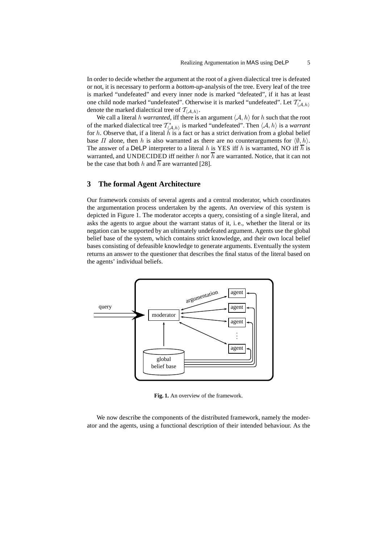In order to decide whether the argument at the root of a given dialectical tree is defeated or not, it is necessary to perform a *bottom-up*-analysis of the tree. Every leaf of the tree is marked "undefeated" and every inner node is marked "defeated", if it has at least one child node marked "undefeated". Otherwise it is marked "undefeated". Let  $\mathcal{T}^*_{\langle A,h\rangle}$ denote the marked dialectical tree of  $\mathcal{T}_{\langle\mathcal{A},h\rangle}.$ 

We call a literal h *warranted*, iff there is an argument  $\langle A, h \rangle$  for h such that the root of the marked dialectical tree  $\mathcal{T}^*_{\langle A,h\rangle}$  is marked "undefeated". Then  $\langle A, h\rangle$  is a *warrant* for h. Observe that, if a literal h is a fact or has a strict derivation from a global belief base  $\Pi$  alone, then h is also warranted as there are no counterarguments for  $\langle \emptyset, h \rangle$ . The answer of a DeLP interpreter to a literal h is YES iff h is warranted, NO iff  $\overline{h}$  is warranted, and UNDECIDED iff neither h nor  $\overline{h}$  are warranted. Notice, that it can not be the case that both h and  $\overline{h}$  are warranted [28].

# **3 The formal Agent Architecture**

Our framework consists of several agents and a central moderator, which coordinates the argumentation process undertaken by the agents. An overview of this system is depicted in Figure 1. The moderator accepts a query, consisting of a single literal, and asks the agents to argue about the warrant status of it, i. e., whether the literal or its negation can be supported by an ultimately undefeated argument. Agents use the global belief base of the system, which contains strict knowledge, and their own local belief bases consisting of defeasible knowledge to generate arguments. Eventually the system returns an answer to the questioner that describes the final status of the literal based on the agents' individual beliefs.



**Fig. 1.** An overview of the framework.

We now describe the components of the distributed framework, namely the moderator and the agents, using a functional description of their intended behaviour. As the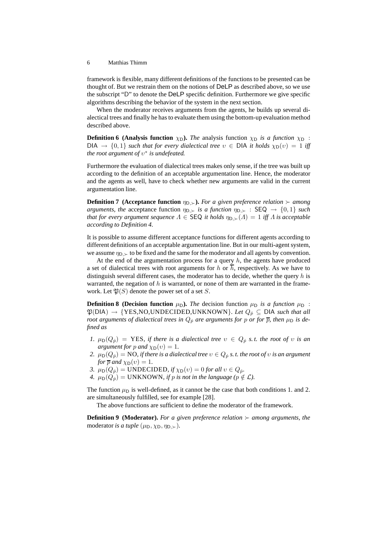framework is flexible, many different definitions of the functions to be presented can be thought of. But we restrain them on the notions of DeLP as described above, so we use the subscript "D" to denote the DeLP specific definition. Furthermore we give specific algorithms describing the behavior of the system in the next section.

When the moderator receives arguments from the agents, he builds up several dialectical trees and finally he has to evaluate them using the bottom-up evaluation method described above.

**Definition 6 (Analysis function**  $\chi_D$ ). *The* analysis function  $\chi_D$  *is a function*  $\chi_D$  :  $DIA \rightarrow \{0,1\}$  *such that for every dialectical tree*  $v \in DIA$  *it holds*  $\chi_D(v) = 1$  *iff the root argument of*  $v^*$  *is undefeated.* 

Furthermore the evaluation of dialectical trees makes only sense, if the tree was built up according to the definition of an acceptable argumentation line. Hence, the moderator and the agents as well, have to check whether new arguments are valid in the current argumentation line.

**Definition 7** (Acceptance function  $\eta_{D,>}$ ). For a given preference relation ≻ among *arguments, the* acceptance function  $\eta_{D,}\succ$  *is a function*  $\eta_{D,}\succ$  : SEQ  $\rightarrow$  {0,1} *such that for every argument sequence*  $\Lambda \in$  SEQ *it holds*  $\eta_{D,\succ}(A) = 1$  *iff*  $\Lambda$  *is acceptable according to Definition 4.*

It is possible to assume different acceptance functions for different agents according to different definitions of an acceptable argumentation line. But in our multi-agent system, we assume  $\eta_D \geq \text{to be fixed}$  and the same for the moderator and all agents by convention.

At the end of the argumentation process for a query  $h$ , the agents have produced a set of dialectical trees with root arguments for h or  $\overline{h}$ , respectively. As we have to distinguish several different cases, the moderator has to decide, whether the query  $h$  is warranted, the negation of  $h$  is warranted, or none of them are warranted in the framework. Let  $\mathfrak{P}(S)$  denote the power set of a set S.

**Definition 8 (Decision function**  $\mu_D$ ). *The* decision function  $\mu_D$  *is a function*  $\mu_D$  :  $\mathfrak{P}(\text{DIA}) \rightarrow \{YES, NO, UNDECIDED, UNKNOWN\}$ . Let  $Q_p \subseteq \text{DIA}$  such that all *root arguments of dialectical trees in*  $Q_p$  *are arguments for* p *or for*  $\overline{p}$ *, then*  $\mu_D$  *is defined as*

- *1.*  $\mu_D(Q_p) = \text{YES},$  if there is a dialectical tree  $v \in Q_p$  s.t. the root of v is an *argument for* p *and*  $\chi_{\text{D}}(v) = 1$ .
- *2.*  $\mu_D(Q_p) = \text{NO}$ , if there is a dialectical tree  $v \in Q_p$  *s. t. the root of v is an argument for*  $\overline{p}$  *and*  $\chi_{\text{D}}(v) = 1$ *.*
- *3.*  $\mu_D(Q_p) = \text{UNDECIDED}, \text{ if } \chi_D(v) = 0 \text{ for all } v \in Q_p.$
- *4.*  $\mu_D(Q_p) = \text{UNKNOWLEDN}$ , if p is not in the language ( $p \notin \mathcal{L}$ ).

The function  $\mu_D$  is well-defined, as it cannot be the case that both conditions 1. and 2. are simultaneously fulfilled, see for example [28].

The above functions are sufficient to define the moderator of the framework.

**Definition 9 (Moderator).** *For a given preference relation* ≻ *among arguments, the* moderator *is a tuple*  $(\mu_D, \chi_D, \eta_{D, \succ}).$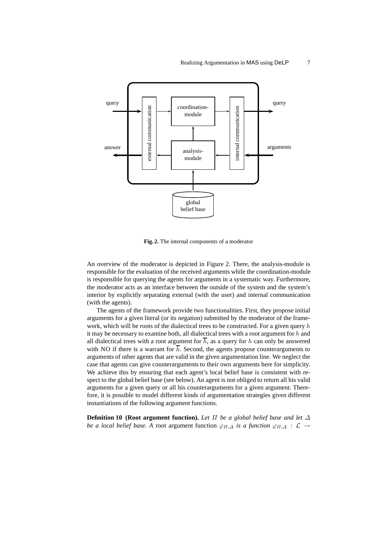

**Fig. 2.** The internal components of a moderator

An overview of the moderator is depicted in Figure 2. There, the analysis-module is responsible for the evaluation of the received arguments while the coordination-module is responsible for querying the agents for arguments in a systematic way. Furthermore, the moderator acts as an interface between the outside of the system and the system's interior by explicitly separating external (with the user) and internal communication (with the agents).

The agents of the framework provide two functionalities. First, they propose initial arguments for a given literal (or its negation) submitted by the moderator of the framework, which will be roots of the dialectical trees to be constructed. For a given query  $h$ it may be necessary to examine both, all dialectical trees with a root argument for  $h$  and all dialectical trees with a root argument for  $\overline{h}$ , as a query for h can only be answered with NO if there is a warrant for  $\overline{h}$ . Second, the agents propose counterarguments to arguments of other agents that are valid in the given argumentation line. We neglect the case that agents can give counterarguments to their own arguments here for simplicity. We achieve this by ensuring that each agent's local belief base is consistent with respect to the global belief base (see below). An agent is not obliged to return all his valid arguments for a given query or all his counterarguments for a given argument. Therefore, it is possible to model different kinds of argumentation strategies given different instantiations of the following argument functions.

**Definition 10 (Root argument function).** *Let* Π *be a global belief base and let* ∆ *be a local belief base.* A root argument function  $\varphi_{\Pi,\Delta}$  *is a function*  $\varphi_{\Pi,\Delta}$  :  $\mathcal{L} \to$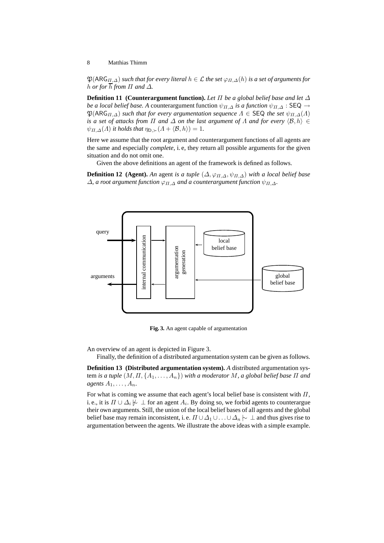$\mathfrak{P}(ARG_{\Pi,\Delta})$  *such that for every literal*  $h \in \mathcal{L}$  *the set*  $\varphi_{\Pi,\Delta}(h)$  *is a set of arguments for h or for*  $\overline{h}$  *from*  $\Pi$  *and*  $\Delta$ *.* 

**Definition 11 (Counterargument function).** *Let* Π *be a global belief base and let* ∆ *be a local belief base.* A counterargument function  $\psi_{\Pi,\Delta}$  *is a function*  $\psi_{\Pi,\Delta}$  : SEQ  $\rightarrow$  $\mathfrak{P}(ARG_{\Pi,\Delta})$  *such that for every argumentation sequence*  $\Lambda \in \mathsf{SEQ}$  *the set*  $\psi_{\Pi,\Delta}(\Lambda)$ *is a set of attacks from*  $\Pi$  *and*  $\Delta$  *on the last argument of*  $\Lambda$  *and for every*  $\langle \mathcal{B}, h \rangle \in$  $\psi_{\Pi,\Delta}(A)$  *it holds that*  $\eta_{\mathsf{D},\succ}(A + \langle \mathcal{B}, h \rangle) = 1$ *.* 

Here we assume that the root argument and counterargument functions of all agents are the same and especially *complete*, i. e, they return all possible arguments for the given situation and do not omit one.

Given the above definitions an agent of the framework is defined as follows.

**Definition 12** (Agent). An agent *is a tuple*  $(\Delta, \varphi_{\Pi, \Delta}, \psi_{\Pi, \Delta})$  *with a local belief base*  $\Delta$ , a root argument function  $\varphi_{\Pi,\Delta}$  and a counterargument function  $\psi_{\Pi,\Delta}$ .



**Fig. 3.** An agent capable of argumentation

An overview of an agent is depicted in Figure 3.

Finally, the definition of a distributed argumentation system can be given as follows.

**Definition 13 (Distributed argumentation system).** *A* distributed argumentation system *is a tuple*  $(M, \Pi, \{A_1, \ldots, A_n\})$  *with a moderator* M, a global belief base  $\Pi$  and *agents*  $A_1, \ldots, A_n$ .

For what is coming we assume that each agent's local belief base is consistent with  $\Pi$ , i. e., it is  $\Pi \cup \Delta_i \not\!\!\!\!\sim \bot$  for an agent  $A_i$ . By doing so, we forbid agents to counterargue their own arguments. Still, the union of the local belief bases of all agents and the global belief base may remain inconsistent, i. e.  $\Pi \cup \Delta_1 \cup \ldots \cup \Delta_n \sim \Delta$  and thus gives rise to argumentation between the agents. We illustrate the above ideas with a simple example.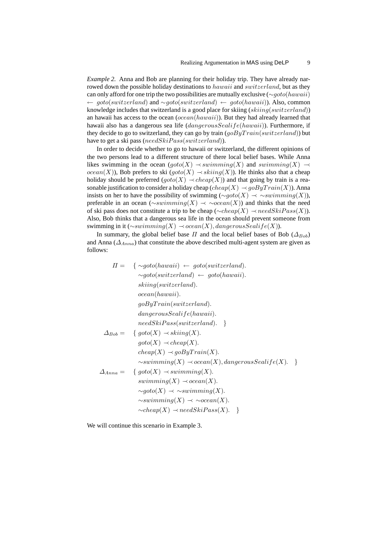*Example 2.* Anna and Bob are planning for their holiday trip. They have already narrowed down the possible holiday destinations to *hawaii* and *switzerland*, but as they can only afford for one trip the two possibilities are mutually exclusive (∼goto(hawaii) ← goto(switzerland) and ∼goto(switzerland) ← goto(hawaii)). Also, common knowledge includes that switzerland is a good place for skiing  $(skiinq(switzerland))$ an hawaii has access to the ocean  $(ocean(hawai))$ . But they had already learned that hawaii also has a dangerous sea life (dangerousSealife(hawaii)). Furthermore, if they decide to go to switzerland, they can go by train  $(g \circ By Train(switzerland))$  but have to get a ski pass (needSkiPass(switzerland)).

In order to decide whether to go to hawaii or switzerland, the different opinions of the two persons lead to a different structure of there local belief bases. While Anna likes swimming in the ocean  $(goto(X) \rightarrow swimming(X)$  and swimming(X)  $\rightarrow$ *ocean*(X)), Bob prefers to ski (goto(X)  $\rightarrow$  skiing(X)). He thinks also that a cheap holiday should be preferred  $(goto(X) \rightarrow cheap(X))$  and that going by train is a reasonable justification to consider a holiday cheap (cheap(X)  $\rightarrow$  goByTrain(X)). Anna insists on her to have the possibility of swimming ( $\sim qoto(X) \prec \sim \sim summing(X)$ ), preferable in an ocean ( $\sim$ swimming(X)  $\rightarrow \sim \sim$ ocean(X)) and thinks that the need of ski pass does not constitute a trip to be cheap ( $\sim$ cheap(X)  $\rightarrow$  needSkiPass(X)). Also, Bob thinks that a dangerous sea life in the ocean should prevent someone from swimming in it ( $\sim$ swimming(X)  $\rightarrow$  ocean(X), dangerousSealife(X)).

In summary, the global belief base  $\Pi$  and the local belief bases of Bob ( $\Delta_{Bob}$ ) and Anna ( $\Delta_{Anna}$ ) that constitute the above described multi-agent system are given as follows:

$$
\Pi = \{ \sim \text{goto}(hawai) \leftarrow \text{goto}(switchad). \\ \sim \text{goto}(switchad) \leftarrow \text{goto}(hawai). \\ \text{sking}(switchad). \\ \text{ocean}(hawai). \\ \text{goByTrain}(switchad). \\ \text{dangerousSealif}e(hawai). \\ \text{needSkiPass}(\text{switchad}). \\ \text{needSkiPass}(\text{switchad}). \\ \text{do} = \{ \text{goto}(X) \rightarrow \text{sking}(X). \\ \text{goto}(X) \rightarrow \text{cheap}(X). \\ \text{cheap}(X) \rightarrow \text{goByTrain}(X). \\ \sim \text{swimming}(X) \rightarrow \text{ocean}(X), \text{dangerousSealif}(X). \}
$$
\n
$$
\Delta_{Anna} = \{ \text{goto}(X) \rightarrow \text{swimming}(X). \\ \sim \text{goto}(X) \rightarrow \text{vswimming}(X). \\ \sim \text{goto}(X) \rightarrow \text{vswimming}(X). \\ \sim \text{swimming}(X) \rightarrow \text{vocean}(X). \\ \sim \text{cheap}(X) \rightarrow \text{needSkiPass}(X). \}
$$

We will continue this scenario in Example 3.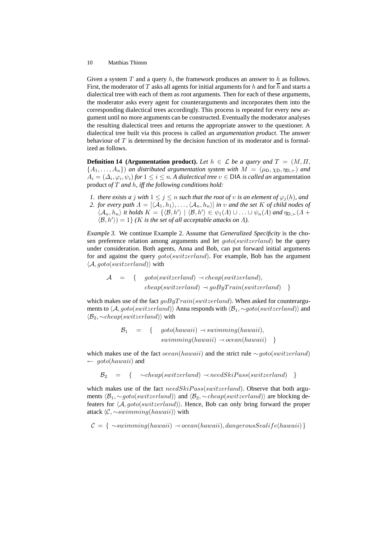Given a system T and a query h, the framework produces an answer to h as follows. First, the moderator of T asks all agents for initial arguments for h and for  $\overline{h}$  and starts a dialectical tree with each of them as root arguments. Then for each of these arguments, the moderator asks every agent for counterarguments and incorporates them into the corresponding dialectical trees accordingly. This process is repeated for every new argument until no more arguments can be constructed. Eventually the moderator analyses the resulting dialectical trees and returns the appropriate answer to the questioner. A dialectical tree built via this process is called an *argumentation product*. The answer behaviour of  $T$  is determined by the decision function of its moderator and is formalized as follows.

**Definition 14 (Argumentation product).** Let  $h \in \mathcal{L}$  be a query and  $T = (M, \Pi, \Pi)$  ${A_1, \ldots, A_n}$ ) *an distributed argumentation system with*  $M = (\mu_D, \chi_D, \eta_{D, \succ})$  *and*  $A_i = (\Delta_i, \varphi_i, \psi_i)$  for  $1 \leq i \leq n$ . A dialectical tree  $v \in$  DIA *is called an* argumentation product *of* T *and* h*, iff the following conditions hold:*

- *1. there exists a j with*  $1 \leq j \leq n$  *such that the root of v is an element of*  $\varphi_i(h)$ *, and*
- *2. for every path*  $\Lambda = [\langle A_1, h_1 \rangle, \ldots, \langle A_n, h_n \rangle]$  *in*  $\upsilon$  *and the set* K *of child nodes of*  $\langle A_n, h_n \rangle$  *it holds*  $K = \{ \langle \mathcal{B}, h' \rangle \mid \langle \mathcal{B}, h' \rangle \in \psi_1(\Lambda) \cup ... \cup \psi_n(\Lambda) \text{ and } \eta_{\mathsf{D},\succ}(\Lambda + \mathsf{D}) \}$  $\langle \mathcal{B}, h' \rangle$  = 1} *(K is the set of all acceptable attacks on*  $\Lambda$ *).*

*Example 3.* We continue Example 2. Assume that *Generalized Specificity* is the chosen preference relation among arguments and let goto(switzerland) be the query under consideration. Both agents, Anna and Bob, can put forward initial arguments for and against the query goto(switzerland). For example, Bob has the argument  $\langle A, qoto(switzerland) \rangle$  with

$$
A = \{ goto(switzerland) \prec cheap(switzerland),
$$
  
 
$$
cheap(switzerland) \prec goByTrain(switzerland) \}
$$

which makes use of the fact  $q \circ ByTrain(switzerland)$ . When asked for counterarguments to  $\langle A, go to (switched) \rangle$  Anna responds with  $\langle B_1, \sim go to (switched) \rangle$  and  $\langle B_2, \sim$ cheap(switzerland)) with

$$
B_1 = \{ \quad \text{goto}(hawaii) \rightarrow swimming(hawaii), \\swimming(hawaii) \rightarrow ocean(hawaii) \}
$$

which makes use of the fact *ocean*(hawaii) and the strict rule ∼goto(switzerland)  $\leftarrow qoto(hawaii)$  and

 $B_2 = \{ \sim \text{cheap}(switched) \rightarrow \text{need} \text{Ski} \text{Pass}(\text{switched}) \}$ 

which makes use of the fact  $needSkiPass(switzerland)$ . Observe that both arguments  $\langle B_1, \sim goto(switzerland) \rangle$  and  $\langle B_2, \sim cheap(switzerland) \rangle$  are blocking defeaters for  $\langle A, go to (switch and) \rangle$ . Hence, Bob can only bring forward the proper attack  $\langle \mathcal{C}, \sim \mathit{swimming}(hawai) \rangle$  with

$$
C = \{ \sim \text{swimming}(hawaii) \prec ocean(hawaii), dangerousSealife(hawaii) \}
$$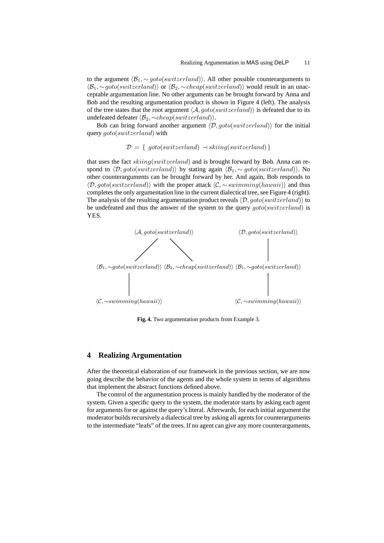to the argument  $\langle B_1, \sim \text{goto}(\text{switched})\rangle$ . All other possible counterarguments to  $\langle B_1, \sim goto(switzerland) \rangle$  or  $\langle B_2, \sim cheap(switzerland) \rangle$  would result in an unacceptable argumentation line. No other arguments can be brought forward by Anna and Bob and the resulting argumentation product is shown in Figure 4 (left). The analysis of the tree states that the root argument  $\langle A, qoto(switzerland) \rangle$  is defeated due to its undefeated defeater  $\langle B_2, \sim$ cheap(switzerland)).

Bob can bring forward another argument  $\langle D, go to (switched) \rangle$  for the initial query goto(switzerland) with

$$
\mathcal{D} = \{ \text{goto}(switch and) \prec sking(switzerland) \}
$$

that uses the fact skiing(switzerland) and is brought forward by Bob. Anna can respond to  $\langle \mathcal{D}, goto(switzerland) \rangle$  by stating again  $\langle \mathcal{B}_1, \sim goto(switzerland) \rangle$ . No other counterarguments can be brought forward by her. And again, Bob responds to  $\langle \mathcal{D}, goto(switzerland) \rangle$  with the proper attack  $\langle C, \sim swimming(hawai) \rangle$  and thus completes the only argumentation line in the current dialectical tree, see Figure 4 (right). The analysis of the resulting argumentation product reveals  $\langle \mathcal{D}, qoto(switzerland) \rangle$  to be undefeated and thus the answer of the system to the query  $goto(switzerland)$  is YES.



**Fig. 4.** Two argumentation products from Example 3.

### **4 Realizing Argumentation**

After the theoretical elaboration of our framework in the previous section, we are now going describe the behavior of the agents and the whole system in terms of algorithms that implement the abstract functions defined above.

The control of the argumentation process is mainly handled by the moderator of the system. Given a specific query to the system, the moderator starts by asking each agent for arguments for or against the query's literal. Afterwards, for each initial argument the moderator builds recursively a dialectical tree by asking all agents for counterarguments to the intermediate "leafs" of the trees. If no agent can give any more counterarguments,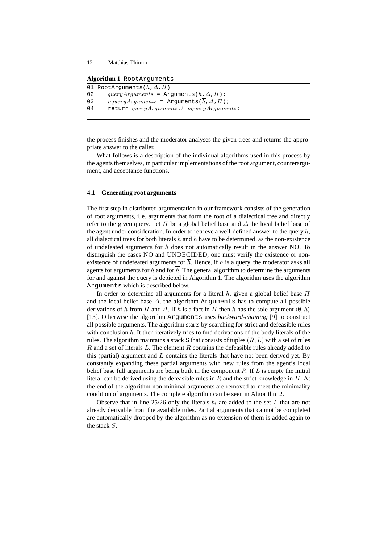| Algorithm 1 RootArguments |                                                     |
|---------------------------|-----------------------------------------------------|
|                           | 01 RootArguments( $h, \Delta, \Pi$ )                |
| 02                        | query Arguments = $A$ rguments $(h, \Delta, \Pi)$ ; |
| 03                        | $nqueryArguments = Arguments(h, \Delta, \Pi);$      |
| 04                        | return $queryArguments \cup nqueryArguments$ ;      |
|                           |                                                     |

the process finishes and the moderator analyses the given trees and returns the appropriate answer to the caller.

What follows is a description of the individual algorithms used in this process by the agents themselves, in particular implementations of the root argument, counterargument, and acceptance functions.

### **4.1 Generating root arguments**

The first step in distributed argumentation in our framework consists of the generation of root arguments, i. e. arguments that form the root of a dialectical tree and directly refer to the given query. Let  $\Pi$  be a global belief base and  $\Delta$  the local belief base of the agent under consideration. In order to retrieve a well-defined answer to the query  $h$ , all dialectical trees for both literals h and  $\overline{h}$  have to be determined, as the non-existence of undefeated arguments for  $h$  does not automatically result in the answer NO. To distinguish the cases NO and UNDECIDED, one must verify the existence or nonexistence of undefeated arguments for  $\overline{h}$ . Hence, if h is a query, the moderator asks all agents for arguments for h and for  $\overline{h}$ . The general algorithm to determine the arguments for and against the query is depicted in Algorithm 1. The algorithm uses the algorithm Arguments which is described below.

In order to determine all arguments for a literal h, given a global belief base  $\Pi$ and the local belief base  $\Delta$ , the algorithm Arguments has to compute all possible derivations of h from  $\Pi$  and  $\Delta$ . If h is a fact in  $\Pi$  then h has the sole argument  $\langle \emptyset, h \rangle$ [13]. Otherwise the algorithm Arguments uses *backward-chaining* [9] to construct all possible arguments. The algorithm starts by searching for strict and defeasible rules with conclusion  $h$ . It then iteratively tries to find derivations of the body literals of the rules. The algorithm maintains a stack S that consists of tuples  $(R, L)$  with a set of rules  $R$  and a set of literals  $L$ . The element  $R$  contains the defeasible rules already added to this (partial) argument and  $L$  contains the literals that have not been derived yet. By constantly expanding these partial arguments with new rules from the agent's local belief base full arguments are being built in the component  $R$ . If  $L$  is empty the initial literal can be derived using the defeasible rules in R and the strict knowledge in  $\Pi$ . At the end of the algorithm non-minimal arguments are removed to meet the minimality condition of arguments. The complete algorithm can be seen in Algorithm 2.

Observe that in line 25/26 only the literals  $b_i$  are added to the set L that are not already derivable from the available rules. Partial arguments that cannot be completed are automatically dropped by the algorithm as no extension of them is added again to the stack S.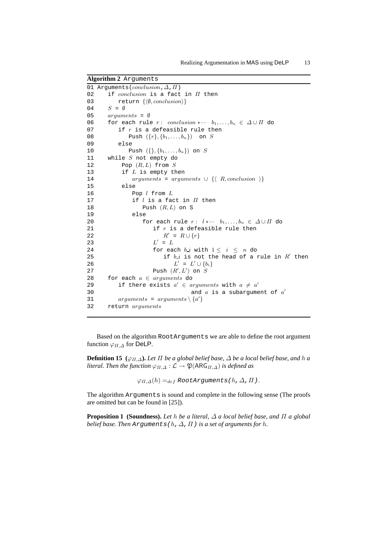```
Algorithm 2 Arguments
01 Arguments(conclusion, \Delta, \Pi)
02 if conclusion is a fact in \Pi then
03 return \{\langle \emptyset, conclusion \rangle\}04 S = \emptyset05 arguments = <math>\emptyset</math>06 for each rule r: conclusion \leftarrow -b_1, \ldots, b_n \in \Delta \cup \Pi do
07 if r is a defeasible rule then
08 Push ({r}, {b_1, ..., b_n}) on S
09 else
10 Push ({}, {b_1, \ldots, b_n}) on S<br>11 while S not empty do
     while S not empty do
12 Pop (R, L) from S13 if L is empty then
14 arguments = arguments ∪ {\langle R, conclusion \rangle}
15 else
16 Pop l from L
17 if l is a fact in \Pi then
18 Push (R, L) on S
19 else
20 for each rule r: l \leftarrow -b_1, \ldots, b_n \in \Delta \cup \Pi do
21 if r is a defeasible rule then
22 RR' = R \cup \{r\}23 LL' \ = \ L24 for each b_i with 1 \leq i \leq n do
25 if b_i is not the head of a rule in R' then
26 L' = L' \cup \{b_i\}27 Push (R', L') on S28 for each a \in arguments do
29 if there exists a' \in arguments with a \neq a'30 and a is a subargument of a'31 arguments = arguments \setminus \{a'\}32 return arguments
```
Based on the algorithm RootArguments we are able to define the root argument function  $\varphi_{\Pi,\Delta}$  for DeLP.

**Definition 15** ( $\varphi_{\Pi,\Delta}$ ). Let  $\Pi$  be a global belief base,  $\Delta$  be a local belief base, and h a *literal. Then the function*  $\varphi_{\Pi,\Delta}: \mathcal{L} \to \mathfrak{P}(\mathsf{ARG}_{\Pi,\Delta})$  *is defined as* 

 $\varphi_{\Pi,\Delta}(h) =_{def}$  RootArguments(h,  $\Delta$ ,  $\Pi$ ).

The algorithm Arguments is sound and complete in the following sense (The proofs are omitted but can be found in [25]).

**Proposition 1 (Soundness).** *Let* h *be a literal,* ∆ *a local belief base, and* Π *a global belief base. Then Arguments(h,*  $\Delta$ *,*  $\Pi$ *) is a set of arguments for h.*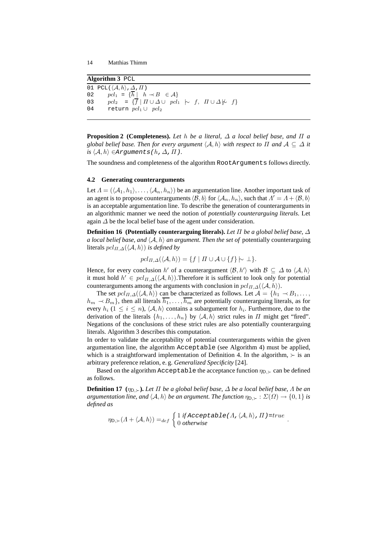**Algorithm 3** PCL 01 PCL( $\langle A, h \rangle$ , $\Delta$ , $\Pi$ ) 02  $pcl_1 = {\overline{h} \mid h \prec B \in \mathcal{A}}$ 03 pcl<sub>2</sub> =  $\{\overline{f} \mid \Pi \cup \Delta \cup \text{pcl}_1 \mid \negthinspace \sim f, \Pi \cup \Delta \nmid \negthinspace \sim f\}$ 04 return  $pcl_1 \cup pcl_2$ 

**Proposition 2** (Completeness). Let h be a literal,  $\Delta$  a local belief base, and  $\Pi$  a *global belief base. Then for every argument*  $\langle A, h \rangle$  *with respect to*  $\Pi$  *and*  $A \subseteq \Delta$  *it*  $is \langle A, h \rangle \in$ Arguments(h,  $\Delta$ ,  $\Pi$ ).

The soundness and completeness of the algorithm RootArguments follows directly.

#### **4.2 Generating counterarguments**

Let  $\Lambda = (\langle A_1, h_1 \rangle, \ldots, \langle A_n, h_n \rangle)$  be an argumentation line. Another important task of an agent is to propose counterarguments  $\langle \mathcal{B}, b \rangle$  for  $\langle \mathcal{A}_n, h_n \rangle$ , such that  $\Lambda' = \Lambda + \langle \mathcal{B}, b \rangle$ is an acceptable argumentation line. To describe the generation of counterarguments in an algorithmic manner we need the notion of *potentially counterarguing literals*. Let again  $\Delta$  be the local belief base of the agent under consideration.

**Definition 16 (Potentially counterarguing literals).** *Let* Π *be a global belief base,* ∆ *a local belief base, and*  $\langle A, h \rangle$  *an argument. Then the set of* potentially counterarguing literals  $pcl_{\Pi,\Delta}(\langle A, h \rangle)$  *is defined by* 

$$
pcl_{\Pi,\Delta}(\langle \mathcal{A}, h \rangle) = \{ f \mid \Pi \cup \mathcal{A} \cup \{ f \} \sim \bot \}.
$$

Hence, for every conclusion  $h'$  of a counterargument  $\langle \mathcal{B}, h' \rangle$  with  $\mathcal{B} \subseteq \Delta$  to  $\langle A, h \rangle$ it must hold  $h' \in pel_{\Pi,\Delta}(\langle A, h \rangle)$ . Therefore it is sufficient to look only for potential counterarguments among the arguments with conclusion in  $pcl_{\Pi,\Delta}(\langle A, h \rangle)$ .

The set  $pcl_{\Pi,\Delta}(\langle A, h \rangle)$  can be characterized as follows. Let  $\mathcal{A} = \{h_1 \prec B_1, \ldots, h_n\}$  $h_m \sim B_m$ , then all literals  $\overline{h_1}, \ldots, \overline{h_m}$  are potentially counterarguing literals, as for every  $h_i$  ( $1 \leq i \leq n$ ),  $\langle A, h \rangle$  contains a subargument for  $h_i$ . Furthermore, due to the derivation of the literals  $\{h_1, \ldots, h_n\}$  by  $\langle A, h \rangle$  strict rules in  $\Pi$  might get "fired". Negations of the conclusions of these strict rules are also potentially counterarguing literals. Algorithm 3 describes this computation.

In order to validate the acceptability of potential counterarguments within the given argumentation line, the algorithm Acceptable (see Algorithm 4) must be applied, which is a straightforward implementation of Definition 4. In the algorithm,  $\succ$  is an arbitrary preference relation, e. g. *Generalized Specificity* [24].

Based on the algorithm Acceptable the acceptance function  $\eta_{D, \succ}$  can be defined as follows.

**Definition 17** ( $\eta_{D,>}$ ). Let  $\Pi$  be a global belief base,  $\Delta$  be a local belief base,  $\Lambda$  be an *argumentation line, and*  $\langle A, h \rangle$  *be an argument. The function*  $\eta_{D, \succ} : \Sigma(\Omega) \to \{0, 1\}$  *is defined as*

$$
\eta_{\mathsf{D},\succ}(\Lambda+\langle \mathcal{A},h\rangle)=_{def}\begin{cases}1 \text{ if } \text{Acceptable }(\Lambda,\langle \mathcal{A},h\rangle,\Pi)=true\\0 \text{ otherwise}\end{cases}.
$$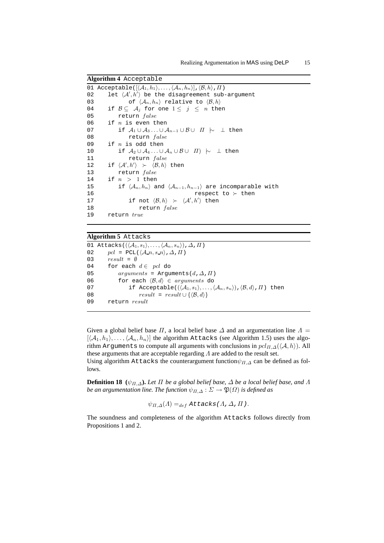**Algorithm 4** Acceptable 01 Acceptable( $\left[\langle \mathcal{A}_1, h_1 \rangle, \ldots, \langle \mathcal{A}_n, h_n \rangle\right], \langle \mathcal{B}, h \rangle$ ,  $\Pi$ ) 02 let  $\langle A', h' \rangle$  be the disagreement sub-argument 03 of  $\langle A_n, h_n \rangle$  relative to  $\langle B, h \rangle$ 04 if  $\mathcal{B} \subseteq \mathcal{A}_j$  for one  $1 \leq j \leq n$  then 05 return false 06 if  $n$  is even then 07 if  $A_1 \cup A_3 ... \cup A_{n-1} \cup B \cup \Pi \hspace{0.2cm} \sim \hspace{0.2cm} \perp$  then 08 return false 09 if  $n$  is odd then 10 if  $A_2 \cup A_4 ... \cup A_n \cup B \cup \Pi$   $\sim \bot$  then 11 return false 12 if  $\langle A', h' \rangle \succ \langle B, h \rangle$  then 13 return false 14 if  $n > 1$  then 15 if  $\langle A_n, h_n \rangle$  and  $\langle A_{n-1}, h_{n-1} \rangle$  are incomparable with 16 respect to ≻ then 17 if not  $\langle \mathcal{B}, h \rangle$  ≻  $\langle \mathcal{A}', h' \rangle$  then 18 return false 19 return true

### **Algorithm 5** Attacks

01 Attacks( $(\langle A_1, s_1 \rangle, \ldots, \langle A_n, s_n \rangle)$ ,  $\Delta$ ,  $\Pi$ ) 02  $pcl = PCL(\langle A_n, s_n \rangle, \Delta, \Pi)$ 03  $result = \emptyset$ 04 for each  $d \in$  pcl do 05  ${arguments}$  = Arguments(d,  $\Delta$ ,  $\Pi$ ) 06 for each  $\langle \mathcal{B}, d \rangle \in arguments$  do 07 if Acceptable( $(\langle A_1, s_1\rangle, \ldots, \langle A_n, s_n\rangle)$ , $\langle \mathcal{B}, d\rangle$ ,  $\Pi$ ) then 08  $result = result \cup \{\langle \mathcal{B}, d \rangle\}$ 09 return result

Given a global belief base  $\Pi$ , a local belief base  $\Delta$  and an argumentation line  $\Lambda =$  $[\langle A_1, h_1 \rangle, \ldots, \langle A_n, h_n \rangle]$  the algorithm Attacks (see Algorithm 1.5) uses the algorithm Arguments to compute all arguments with conclusions in  $pcl_{\Pi,\Delta}(\langle A, h \rangle)$ . All these arguments that are acceptable regarding  $\Lambda$  are added to the result set. Using algorithm Attacks the counterargument function  $\psi_{\Pi,\Delta}$  can be defined as fol-

lows.

**Definition 18** ( $\psi_{\Pi,\Delta}$ ). Let  $\Pi$  be a global belief base,  $\Delta$  be a local belief base, and  $\Lambda$ *be an argumentation line. The function*  $\psi_{\Pi,\Delta} : \Sigma \to \mathfrak{P}(\Omega)$  *is defined as* 

$$
\psi_{\Pi,\Delta}(\Lambda) =_{def} \text{Attacks}(\Lambda, \Delta, \Pi).
$$

The soundness and completeness of the algorithm Attacks follows directly from Propositions 1 and 2.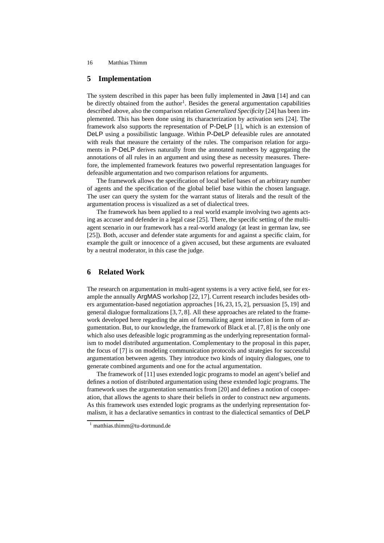# **5 Implementation**

The system described in this paper has been fully implemented in Java [14] and can be directly obtained from the author<sup>1</sup>. Besides the general argumentation capabilities described above, also the comparison relation *Generalized Specificity* [24] has been implemented. This has been done using its characterization by activation sets [24]. The framework also supports the representation of P-DeLP [1], which is an extension of DeLP using a possibilistic language. Within P-DeLP defeasible rules are annotated with reals that measure the certainty of the rules. The comparison relation for arguments in P-DeLP derives naturally from the annotated numbers by aggregating the annotations of all rules in an argument and using these as necessity measures. Therefore, the implemented framework features two powerful representation languages for defeasible argumentation and two comparison relations for arguments.

The framework allows the specification of local belief bases of an arbitrary number of agents and the specification of the global belief base within the chosen language. The user can query the system for the warrant status of literals and the result of the argumentation process is visualized as a set of dialectical trees.

The framework has been applied to a real world example involving two agents acting as accuser and defender in a legal case [25]. There, the specific setting of the multiagent scenario in our framework has a real-world analogy (at least in german law, see [25]). Both, accuser and defender state arguments for and against a specific claim, for example the guilt or innocence of a given accused, but these arguments are evaluated by a neutral moderator, in this case the judge.

# **6 Related Work**

The research on argumentation in multi-agent systems is a very active field, see for example the annually ArgMAS workshop [22, 17]. Current research includes besides others argumentation-based negotiation approaches [16, 23, 15, 2], persuasion [5, 19] and general dialogue formalizations [3, 7, 8]. All these approaches are related to the framework developed here regarding the aim of formalizing agent interaction in form of argumentation. But, to our knowledge, the framework of Black et al. [7, 8] is the only one which also uses defeasible logic programming as the underlying representation formalism to model distributed argumentation. Complementary to the proposal in this paper, the focus of [7] is on modeling communication protocols and strategies for successful argumentation between agents. They introduce two kinds of inquiry dialogues, one to generate combined arguments and one for the actual argumentation.

The framework of [11] uses extended logic programs to model an agent's belief and defines a notion of distributed argumentation using these extended logic programs. The framework uses the argumentation semantics from [20] and defines a notion of cooperation, that allows the agents to share their beliefs in order to construct new arguments. As this framework uses extended logic programs as the underlying representation formalism, it has a declarative semantics in contrast to the dialectical semantics of DeLP

<sup>1</sup> matthias.thimm@tu-dortmund.de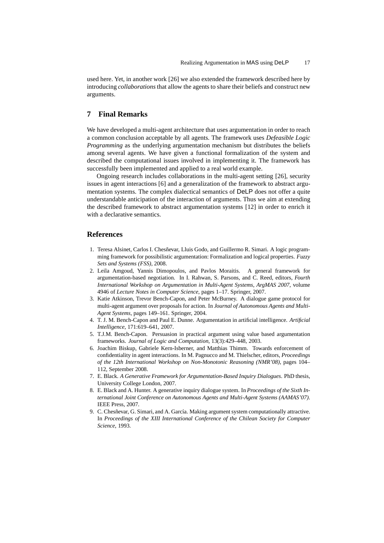used here. Yet, in another work [26] we also extended the framework described here by introducing *collaborations*that allow the agents to share their beliefs and construct new arguments.

# **7 Final Remarks**

We have developed a multi-agent architecture that uses argumentation in order to reach a common conclusion acceptable by all agents. The framework uses *Defeasible Logic Programming* as the underlying argumentation mechanism but distributes the beliefs among several agents. We have given a functional formalization of the system and described the computational issues involved in implementing it. The framework has successfully been implemented and applied to a real world example.

Ongoing research includes collaborations in the multi-agent setting [26], security issues in agent interactions [6] and a generalization of the framework to abstract argumentation systems. The complex dialectical semantics of DeLP does not offer a quite understandable anticipation of the interaction of arguments. Thus we aim at extending the described framework to abstract argumentation systems [12] in order to enrich it with a declarative semantics.

### **References**

- 1. Teresa Alsinet, Carlos I. Chesñevar, Lluis Godo, and Guillermo R. Simari. A logic programming framework for possibilistic argumentation: Formalization and logical properties. *Fuzzy Sets and Systems (FSS)*, 2008.
- 2. Leila Amgoud, Yannis Dimopoulos, and Pavlos Moraitis. A general framework for argumentation-based negotiation. In I. Rahwan, S. Parsons, and C. Reed, editors, *Fourth International Workshop on Argumentation in Multi-Agent Systems, ArgMAS 2007*, volume 4946 of *Lecture Notes in Computer Science*, pages 1–17. Springer, 2007.
- 3. Katie Atkinson, Trevor Bench-Capon, and Peter McBurney. A dialogue game protocol for multi-agent argument over proposals for action. In *Journal of Autonomous Agents and Multi-Agent Systems*, pages 149–161. Springer, 2004.
- 4. T. J. M. Bench-Capon and Paul E. Dunne. Argumentation in artificial intelligence. *Artificial Intelligence*, 171:619–641, 2007.
- 5. T.J.M. Bench-Capon. Persuasion in practical argument using value based argumentation frameworks. *Journal of Logic and Computation*, 13(3):429–448, 2003.
- 6. Joachim Biskup, Gabriele Kern-Isberner, and Matthias Thimm. Towards enforcement of confidentiality in agent interactions. In M. Pagnucco and M. Thielscher, editors, *Proceedings of the 12th International Workshop on Non-Monotonic Reasoning (NMR'08)*, pages 104– 112, September 2008.
- 7. E. Black. *A Generative Framework for Argumentation-Based Inquiry Dialogues*. PhD thesis, University College London, 2007.
- 8. E. Black and A. Hunter. A generative inquiry dialogue system. In *Proceedings of the Sixth International Joint Conference on Autonomous Agents and Multi-Agent Systems (AAMAS'07)*. IEEE Press, 2007.
- 9. C. Chesñevar, G. Simari, and A. García. Making argument system computationally attractive. In *Proceedings of the XIII International Conference of the Chilean Society for Computer Science*, 1993.